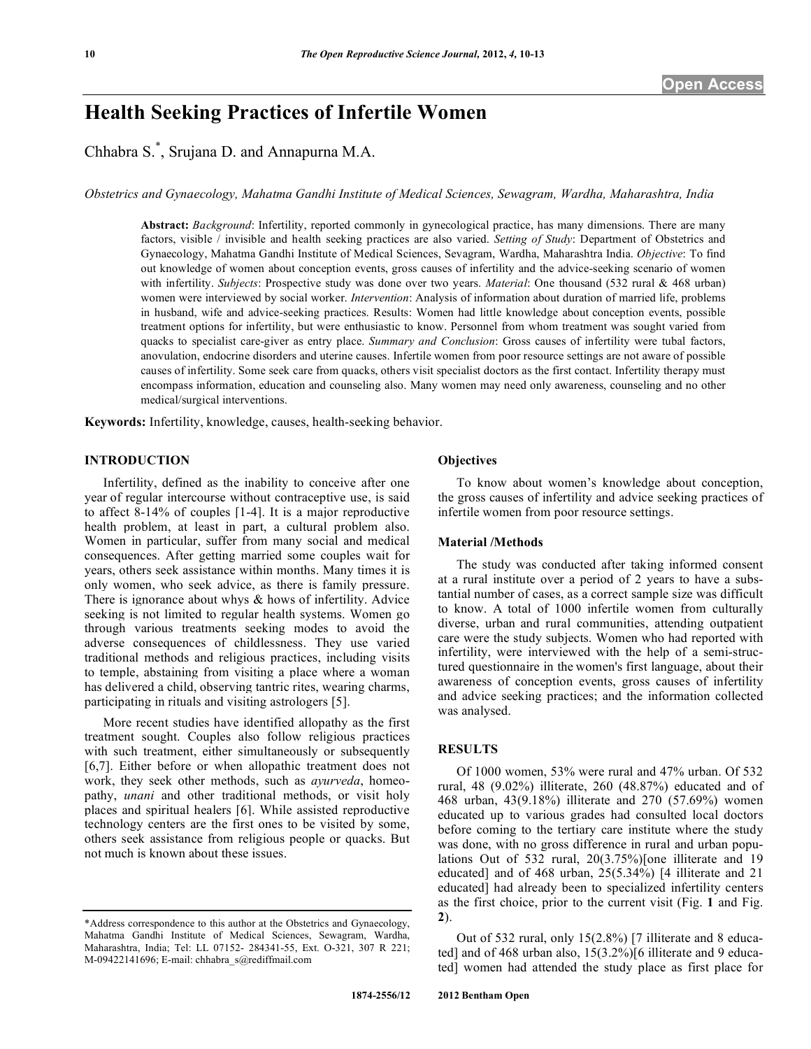# **Health Seeking Practices of Infertile Women**

Chhabra S. \* , Srujana D. and Annapurna M.A.

*Obstetrics and Gynaecology, Mahatma Gandhi Institute of Medical Sciences, Sewagram, Wardha, Maharashtra, India*

**Abstract:** *Background*: Infertility, reported commonly in gynecological practice, has many dimensions. There are many factors, visible / invisible and health seeking practices are also varied. *Setting of Study*: Department of Obstetrics and Gynaecology, Mahatma Gandhi Institute of Medical Sciences, Sevagram, Wardha, Maharashtra India. *Objective*: To find out knowledge of women about conception events, gross causes of infertility and the advice-seeking scenario of women with infertility. *Subjects*: Prospective study was done over two years. *Material*: One thousand (532 rural & 468 urban) women were interviewed by social worker. *Intervention*: Analysis of information about duration of married life, problems in husband, wife and advice-seeking practices. Results: Women had little knowledge about conception events, possible treatment options for infertility, but were enthusiastic to know. Personnel from whom treatment was sought varied from quacks to specialist care-giver as entry place. *Summary and Conclusion*: Gross causes of infertility were tubal factors, anovulation, endocrine disorders and uterine causes. Infertile women from poor resource settings are not aware of possible causes of infertility. Some seek care from quacks, others visit specialist doctors as the first contact. Infertility therapy must encompass information, education and counseling also. Many women may need only awareness, counseling and no other medical/surgical interventions.

**Keywords:** Infertility, knowledge, causes, health-seeking behavior.

#### **INTRODUCTION**

Infertility, defined as the inability to conceive after one year of regular intercourse without contraceptive use, is said to affect 8-14% of couples [1-4]. It is a major reproductive health problem, at least in part, a cultural problem also. Women in particular, suffer from many social and medical consequences. After getting married some couples wait for years, others seek assistance within months. Many times it is only women, who seek advice, as there is family pressure. There is ignorance about whys & hows of infertility. Advice seeking is not limited to regular health systems. Women go through various treatments seeking modes to avoid the adverse consequences of childlessness. They use varied traditional methods and religious practices, including visits to temple, abstaining from visiting a place where a woman has delivered a child, observing tantric rites, wearing charms, participating in rituals and visiting astrologers [5].

More recent studies have identified allopathy as the first treatment sought. Couples also follow religious practices with such treatment, either simultaneously or subsequently [6,7]. Either before or when allopathic treatment does not work, they seek other methods, such as *ayurveda*, homeopathy, *unani* and other traditional methods, or visit holy places and spiritual healers [6]. While assisted reproductive technology centers are the first ones to be visited by some, others seek assistance from religious people or quacks. But not much is known about these issues.

# **Objectives**

To know about women's knowledge about conception, the gross causes of infertility and advice seeking practices of infertile women from poor resource settings.

## **Material /Methods**

The study was conducted after taking informed consent at a rural institute over a period of 2 years to have a substantial number of cases, as a correct sample size was difficult to know. A total of 1000 infertile women from culturally diverse, urban and rural communities, attending outpatient care were the study subjects. Women who had reported with infertility, were interviewed with the help of a semi-structured questionnaire in the women's first language, about their awareness of conception events, gross causes of infertility and advice seeking practices; and the information collected was analysed.

#### **RESULTS**

Of 1000 women, 53% were rural and 47% urban. Of 532 rural, 48 (9.02%) illiterate, 260 (48.87%) educated and of 468 urban, 43(9.18%) illiterate and 270 (57.69%) women educated up to various grades had consulted local doctors before coming to the tertiary care institute where the study was done, with no gross difference in rural and urban populations Out of 532 rural, 20(3.75%)[one illiterate and 19 educated] and of 468 urban, 25(5.34%) [4 illiterate and 21 educated] had already been to specialized infertility centers as the first choice, prior to the current visit (Fig. **1** and Fig. **2**).

Out of 532 rural, only 15(2.8%) [7 illiterate and 8 educated] and of 468 urban also, 15(3.2%)[6 illiterate and 9 educated] women had attended the study place as first place for

<sup>\*</sup>Address correspondence to this author at the Obstetrics and Gynaecology, Mahatma Gandhi Institute of Medical Sciences, Sewagram, Wardha, Maharashtra, India; Tel: LL 07152- 284341-55, Ext. O-321, 307 R 221; M-09422141696; E-mail: chhabra\_s@rediffmail.com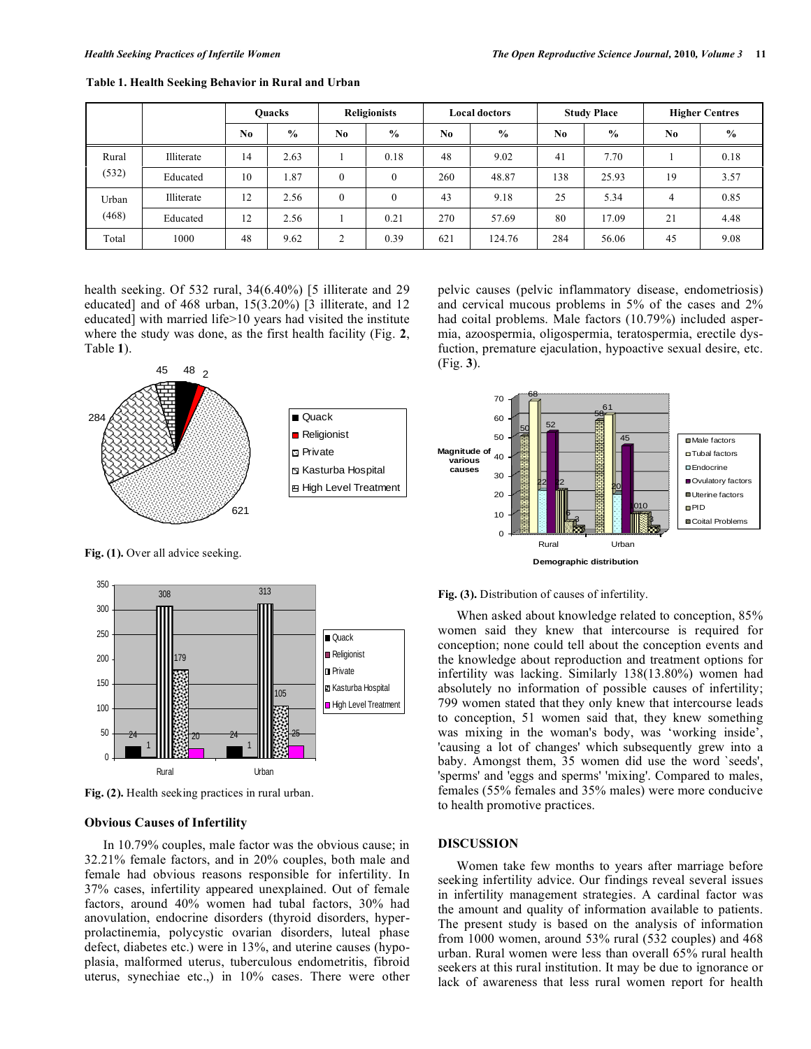|                |            | <b>Ouacks</b>  |               | <b>Religionists</b> |               | <b>Local doctors</b> |               | <b>Study Place</b> |               | <b>Higher Centres</b> |               |
|----------------|------------|----------------|---------------|---------------------|---------------|----------------------|---------------|--------------------|---------------|-----------------------|---------------|
|                |            | N <sub>0</sub> | $\frac{0}{0}$ | No.                 | $\frac{0}{0}$ | No                   | $\frac{6}{9}$ | No                 | $\frac{0}{0}$ | No.                   | $\frac{0}{0}$ |
| Rural<br>(532) | Illiterate | 14             | 2.63          |                     | 0.18          | 48                   | 9.02          | 41                 | 7.70          |                       | 0.18          |
|                | Educated   | 10             | 1.87          | $\mathbf{0}$        | $\theta$      | 260                  | 48.87         | 138                | 25.93         | 19                    | 3.57          |
| Urban<br>(468) | Illiterate | 12             | 2.56          | $\mathbf{0}$        | $\Omega$      | 43                   | 9.18          | 25                 | 5.34          | 4                     | 0.85          |
|                | Educated   | 12             | 2.56          |                     | 0.21          | 270                  | 57.69         | 80                 | 17.09         | 21                    | 4.48          |
| Total          | 1000       | 48             | 9.62          | 2                   | 0.39          | 621                  | 124.76        | 284                | 56.06         | 45                    | 9.08          |

**Table 1. Health Seeking Behavior in Rural and Urban** 

health seeking. Of 532 rural, 34(6.40%) [5 illiterate and 29 educated] and of 468 urban, 15(3.20%) [3 illiterate, and 12 educated] with married life>10 years had visited the institute where the study was done, as the first health facility (Fig. **2**, Table **1**).



Fig. (1). Over all advice seeking.



**Fig. (2).** Health seeking practices in rural urban.

## **Obvious Causes of Infertility**

In 10.79% couples, male factor was the obvious cause; in 32.21% female factors, and in 20% couples, both male and female had obvious reasons responsible for infertility. In 37% cases, infertility appeared unexplained. Out of female factors, around 40% women had tubal factors, 30% had anovulation, endocrine disorders (thyroid disorders, hyperprolactinemia, polycystic ovarian disorders, luteal phase defect, diabetes etc.) were in 13%, and uterine causes (hypoplasia, malformed uterus, tuberculous endometritis, fibroid uterus, synechiae etc.,) in 10% cases. There were other pelvic causes (pelvic inflammatory disease, endometriosis) and cervical mucous problems in 5% of the cases and 2% had coital problems. Male factors (10.79%) included aspermia, azoospermia, oligospermia, teratospermia, erectile dysfuction, premature ejaculation, hypoactive sexual desire, etc. (Fig. **3**).



**Fig. (3).** Distribution of causes of infertility.

When asked about knowledge related to conception, 85% women said they knew that intercourse is required for conception; none could tell about the conception events and the knowledge about reproduction and treatment options for infertility was lacking. Similarly 138(13.80%) women had absolutely no information of possible causes of infertility; 799 women stated that they only knew that intercourse leads to conception, 51 women said that, they knew something was mixing in the woman's body, was 'working inside', 'causing a lot of changes' which subsequently grew into a baby. Amongst them, 35 women did use the word `seeds', 'sperms' and 'eggs and sperms' 'mixing'. Compared to males, females (55% females and 35% males) were more conducive to health promotive practices.

## **DISCUSSION**

Women take few months to years after marriage before seeking infertility advice. Our findings reveal several issues in infertility management strategies. A cardinal factor was the amount and quality of information available to patients. The present study is based on the analysis of information from 1000 women, around 53% rural (532 couples) and 468 urban. Rural women were less than overall 65% rural health seekers at this rural institution. It may be due to ignorance or lack of awareness that less rural women report for health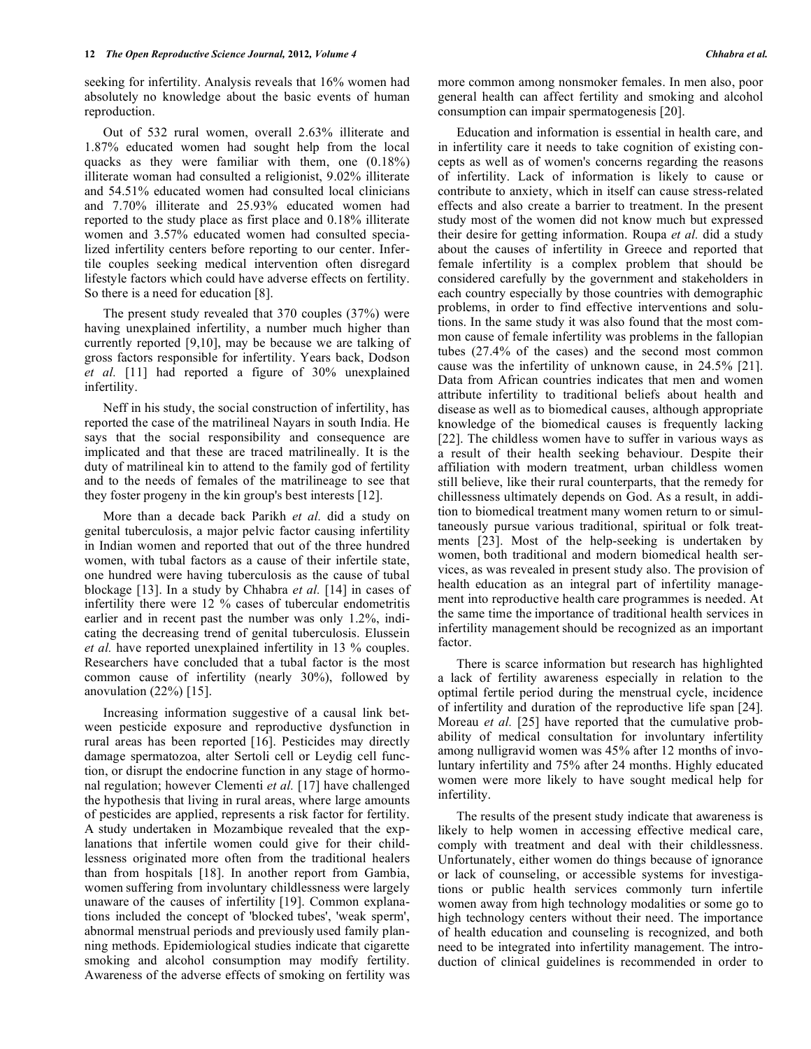seeking for infertility. Analysis reveals that 16% women had absolutely no knowledge about the basic events of human reproduction.

Out of 532 rural women, overall 2.63% illiterate and 1.87% educated women had sought help from the local quacks as they were familiar with them, one (0.18%) illiterate woman had consulted a religionist, 9.02% illiterate and 54.51% educated women had consulted local clinicians and 7.70% illiterate and 25.93% educated women had reported to the study place as first place and 0.18% illiterate women and 3.57% educated women had consulted specialized infertility centers before reporting to our center. Infertile couples seeking medical intervention often disregard lifestyle factors which could have adverse effects on fertility. So there is a need for education [8].

The present study revealed that 370 couples (37%) were having unexplained infertility, a number much higher than currently reported [9,10], may be because we are talking of gross factors responsible for infertility. Years back, Dodson *et al.* [11] had reported a figure of 30% unexplained infertility.

Neff in his study, the social construction of infertility, has reported the case of the matrilineal Nayars in south India. He says that the social responsibility and consequence are implicated and that these are traced matrilineally. It is the duty of matrilineal kin to attend to the family god of fertility and to the needs of females of the matrilineage to see that they foster progeny in the kin group's best interests [12].

More than a decade back Parikh *et al.* did a study on genital tuberculosis, a major pelvic factor causing infertility in Indian women and reported that out of the three hundred women, with tubal factors as a cause of their infertile state, one hundred were having tuberculosis as the cause of tubal blockage [13]. In a study by Chhabra *et al.* [14] in cases of infertility there were 12 % cases of tubercular endometritis earlier and in recent past the number was only 1.2%, indicating the decreasing trend of genital tuberculosis. Elussein *et al.* have reported unexplained infertility in 13 % couples. Researchers have concluded that a tubal factor is the most common cause of infertility (nearly 30%), followed by anovulation  $(22%)$  [15].

Increasing information suggestive of a causal link between pesticide exposure and reproductive dysfunction in rural areas has been reported [16]. Pesticides may directly damage spermatozoa, alter Sertoli cell or Leydig cell function, or disrupt the endocrine function in any stage of hormonal regulation; however Clementi *et al.* [17] have challenged the hypothesis that living in rural areas, where large amounts of pesticides are applied, represents a risk factor for fertility. A study undertaken in Mozambique revealed that the explanations that infertile women could give for their childlessness originated more often from the traditional healers than from hospitals [18]. In another report from Gambia, women suffering from involuntary childlessness were largely unaware of the causes of infertility [19]. Common explanations included the concept of 'blocked tubes', 'weak sperm', abnormal menstrual periods and previously used family planning methods. Epidemiological studies indicate that cigarette smoking and alcohol consumption may modify fertility. Awareness of the adverse effects of smoking on fertility was more common among nonsmoker females. In men also, poor general health can affect fertility and smoking and alcohol consumption can impair spermatogenesis [20].

Education and information is essential in health care, and in infertility care it needs to take cognition of existing concepts as well as of women's concerns regarding the reasons of infertility. Lack of information is likely to cause or contribute to anxiety, which in itself can cause stress-related effects and also create a barrier to treatment. In the present study most of the women did not know much but expressed their desire for getting information. Roupa *et al.* did a study about the causes of infertility in Greece and reported that female infertility is a complex problem that should be considered carefully by the government and stakeholders in each country especially by those countries with demographic problems, in order to find effective interventions and solutions. In the same study it was also found that the most common cause of female infertility was problems in the fallopian tubes (27.4% of the cases) and the second most common cause was the infertility of unknown cause, in 24.5% [21]. Data from African countries indicates that men and women attribute infertility to traditional beliefs about health and disease as well as to biomedical causes, although appropriate knowledge of the biomedical causes is frequently lacking [22]. The childless women have to suffer in various ways as a result of their health seeking behaviour. Despite their affiliation with modern treatment, urban childless women still believe, like their rural counterparts, that the remedy for chillessness ultimately depends on God. As a result, in addition to biomedical treatment many women return to or simultaneously pursue various traditional, spiritual or folk treatments [23]. Most of the help-seeking is undertaken by women, both traditional and modern biomedical health services, as was revealed in present study also. The provision of health education as an integral part of infertility management into reproductive health care programmes is needed. At the same time the importance of traditional health services in infertility management should be recognized as an important factor.

There is scarce information but research has highlighted a lack of fertility awareness especially in relation to the optimal fertile period during the menstrual cycle, incidence of infertility and duration of the reproductive life span [24]. Moreau *et al.* [25] have reported that the cumulative probability of medical consultation for involuntary infertility among nulligravid women was 45% after 12 months of involuntary infertility and 75% after 24 months. Highly educated women were more likely to have sought medical help for infertility.

The results of the present study indicate that awareness is likely to help women in accessing effective medical care, comply with treatment and deal with their childlessness. Unfortunately, either women do things because of ignorance or lack of counseling, or accessible systems for investigations or public health services commonly turn infertile women away from high technology modalities or some go to high technology centers without their need. The importance of health education and counseling is recognized, and both need to be integrated into infertility management. The introduction of clinical guidelines is recommended in order to